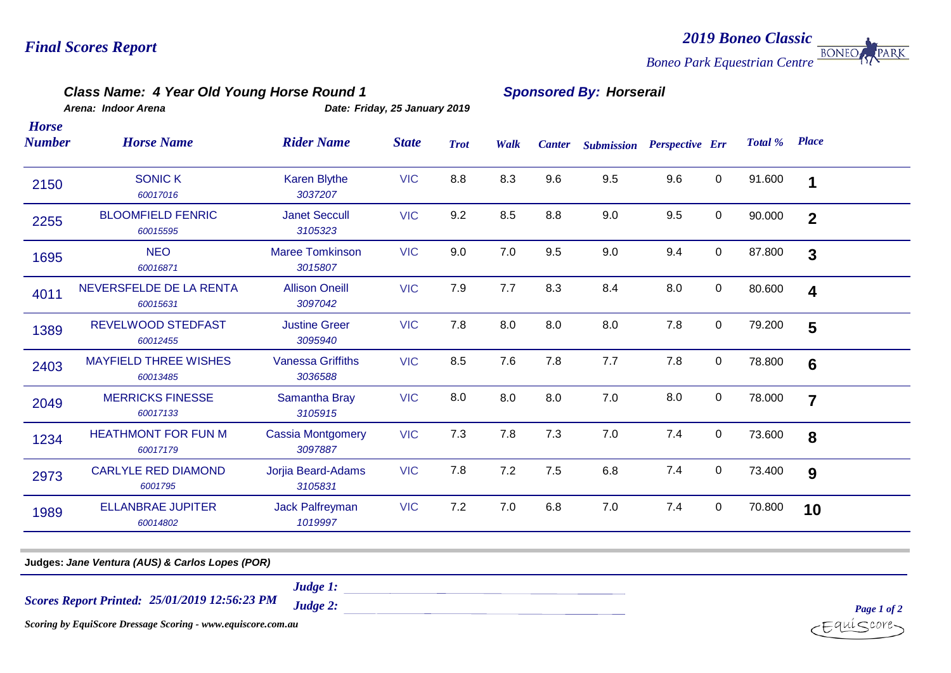### *2019 Boneo Classic* **BONEO** PARK *Boneo Park Equestrian Centre*

## *Class Name: 4 Year Old Young Horse Round 1 Sponsored By: Horserail*

*Arena: Indoor Arena Date: Friday, 25 January 2019 Horse* 

| Number | <b>Horse Name</b>                        | <b>Rider Name</b>                   | <b>State</b> | <b>Trot</b> | Walk | <b>Canter</b> | <b>Submission</b> | <b>Perspective Err</b> |             | Total % | <b>Place</b>            |  |
|--------|------------------------------------------|-------------------------------------|--------------|-------------|------|---------------|-------------------|------------------------|-------------|---------|-------------------------|--|
| 2150   | <b>SONIC K</b><br>60017016               | Karen Blythe<br>3037207             | <b>VIC</b>   | 8.8         | 8.3  | 9.6           | 9.5               | 9.6                    | 0           | 91.600  | 1                       |  |
| 2255   | <b>BLOOMFIELD FENRIC</b><br>60015595     | <b>Janet Seccull</b><br>3105323     | <b>VIC</b>   | 9.2         | 8.5  | 8.8           | 9.0               | 9.5                    | $\mathbf 0$ | 90.000  | $\overline{2}$          |  |
| 1695   | <b>NEO</b><br>60016871                   | <b>Maree Tomkinson</b><br>3015807   | <b>VIC</b>   | 9.0         | 7.0  | 9.5           | 9.0               | 9.4                    | 0           | 87.800  | $\mathbf{3}$            |  |
| 4011   | NEVERSFELDE DE LA RENTA<br>60015631      | <b>Allison Oneill</b><br>3097042    | <b>VIC</b>   | 7.9         | 7.7  | 8.3           | 8.4               | 8.0                    | $\mathbf 0$ | 80.600  | $\overline{\mathbf{4}}$ |  |
| 1389   | <b>REVELWOOD STEDFAST</b><br>60012455    | <b>Justine Greer</b><br>3095940     | <b>VIC</b>   | 7.8         | 8.0  | 8.0           | 8.0               | 7.8                    | $\mathbf 0$ | 79.200  | 5                       |  |
| 2403   | <b>MAYFIELD THREE WISHES</b><br>60013485 | <b>Vanessa Griffiths</b><br>3036588 | <b>VIC</b>   | 8.5         | 7.6  | 7.8           | 7.7               | 7.8                    | 0           | 78.800  | 6                       |  |
| 2049   | <b>MERRICKS FINESSE</b><br>60017133      | Samantha Bray<br>3105915            | <b>VIC</b>   | 8.0         | 8.0  | 8.0           | 7.0               | 8.0                    | 0           | 78.000  | $\overline{7}$          |  |
| 1234   | <b>HEATHMONT FOR FUN M</b><br>60017179   | <b>Cassia Montgomery</b><br>3097887 | <b>VIC</b>   | 7.3         | 7.8  | 7.3           | 7.0               | 7.4                    | $\mathbf 0$ | 73.600  | 8                       |  |
| 2973   | <b>CARLYLE RED DIAMOND</b><br>6001795    | Jorjia Beard-Adams<br>3105831       | <b>VIC</b>   | 7.8         | 7.2  | 7.5           | 6.8               | 7.4                    | $\pmb{0}$   | 73.400  | 9                       |  |
| 1989   | <b>ELLANBRAE JUPITER</b><br>60014802     | <b>Jack Palfreyman</b><br>1019997   | <b>VIC</b>   | 7.2         | 7.0  | 6.8           | 7.0               | 7.4                    | 0           | 70.800  | 10                      |  |
|        |                                          |                                     |              |             |      |               |                   |                        |             |         |                         |  |

**Judges:** *Jane Ventura (AUS) & Carlos Lopes (POR)*

*Judge 1:*

*25/01/2019 12:56:23 PM Scores Report Printed:*

*Judge 2:* 

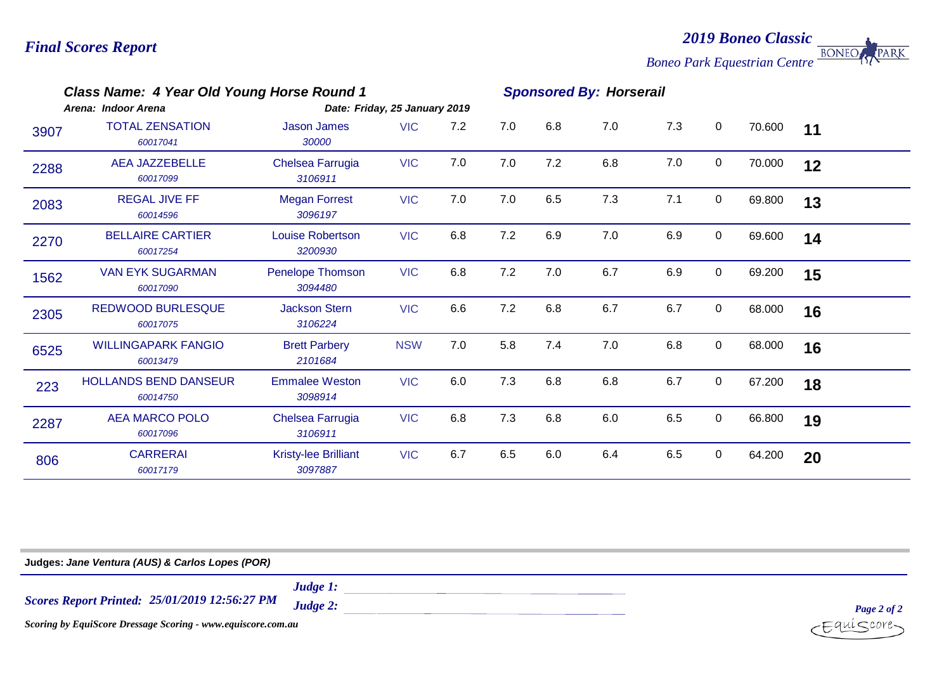*2019 Boneo Classic* **BONEO** PARK *Boneo Park Equestrian Centre*

| Class Name: 4 Year Old Young Horse Round 1<br>Arena: Indoor Arena<br>Date: Friday, 25 January 2019 |                                          |                                        |            |     | <b>Sponsored By: Horserail</b> |     |     |     |             |        |    |  |
|----------------------------------------------------------------------------------------------------|------------------------------------------|----------------------------------------|------------|-----|--------------------------------|-----|-----|-----|-------------|--------|----|--|
| 3907                                                                                               | <b>TOTAL ZENSATION</b><br>60017041       | <b>Jason James</b><br>30000            | <b>VIC</b> | 7.2 | 7.0                            | 6.8 | 7.0 | 7.3 | $\mathbf 0$ | 70.600 | 11 |  |
| 2288                                                                                               | <b>AEA JAZZEBELLE</b><br>60017099        | Chelsea Farrugia<br>3106911            | <b>VIC</b> | 7.0 | 7.0                            | 7.2 | 6.8 | 7.0 | $\mathbf 0$ | 70.000 | 12 |  |
| 2083                                                                                               | <b>REGAL JIVE FF</b><br>60014596         | <b>Megan Forrest</b><br>3096197        | <b>VIC</b> | 7.0 | 7.0                            | 6.5 | 7.3 | 7.1 | $\mathbf 0$ | 69.800 | 13 |  |
| 2270                                                                                               | <b>BELLAIRE CARTIER</b><br>60017254      | <b>Louise Robertson</b><br>3200930     | <b>VIC</b> | 6.8 | 7.2                            | 6.9 | 7.0 | 6.9 | $\mathbf 0$ | 69.600 | 14 |  |
| 1562                                                                                               | <b>VAN EYK SUGARMAN</b><br>60017090      | Penelope Thomson<br>3094480            | <b>VIC</b> | 6.8 | 7.2                            | 7.0 | 6.7 | 6.9 | 0           | 69.200 | 15 |  |
| 2305                                                                                               | <b>REDWOOD BURLESQUE</b><br>60017075     | <b>Jackson Stern</b><br>3106224        | <b>VIC</b> | 6.6 | 7.2                            | 6.8 | 6.7 | 6.7 | $\mathbf 0$ | 68.000 | 16 |  |
| 6525                                                                                               | <b>WILLINGAPARK FANGIO</b><br>60013479   | <b>Brett Parbery</b><br>2101684        | <b>NSW</b> | 7.0 | 5.8                            | 7.4 | 7.0 | 6.8 | $\mathbf 0$ | 68.000 | 16 |  |
| 223                                                                                                | <b>HOLLANDS BEND DANSEUR</b><br>60014750 | <b>Emmalee Weston</b><br>3098914       | <b>VIC</b> | 6.0 | 7.3                            | 6.8 | 6.8 | 6.7 | $\mathbf 0$ | 67.200 | 18 |  |
| 2287                                                                                               | <b>AEA MARCO POLO</b><br>60017096        | Chelsea Farrugia<br>3106911            | <b>VIC</b> | 6.8 | 7.3                            | 6.8 | 6.0 | 6.5 | $\mathbf 0$ | 66.800 | 19 |  |
| 806                                                                                                | <b>CARRERAI</b><br>60017179              | <b>Kristy-lee Brilliant</b><br>3097887 | <b>VIC</b> | 6.7 | 6.5                            | 6.0 | 6.4 | 6.5 | $\mathbf 0$ | 64.200 | 20 |  |

**Judges:** *Jane Ventura (AUS) & Carlos Lopes (POR)*

*25/01/2019 12:56:27 PM Scores Report Printed:*

*Judge 1: Judge 2:* 

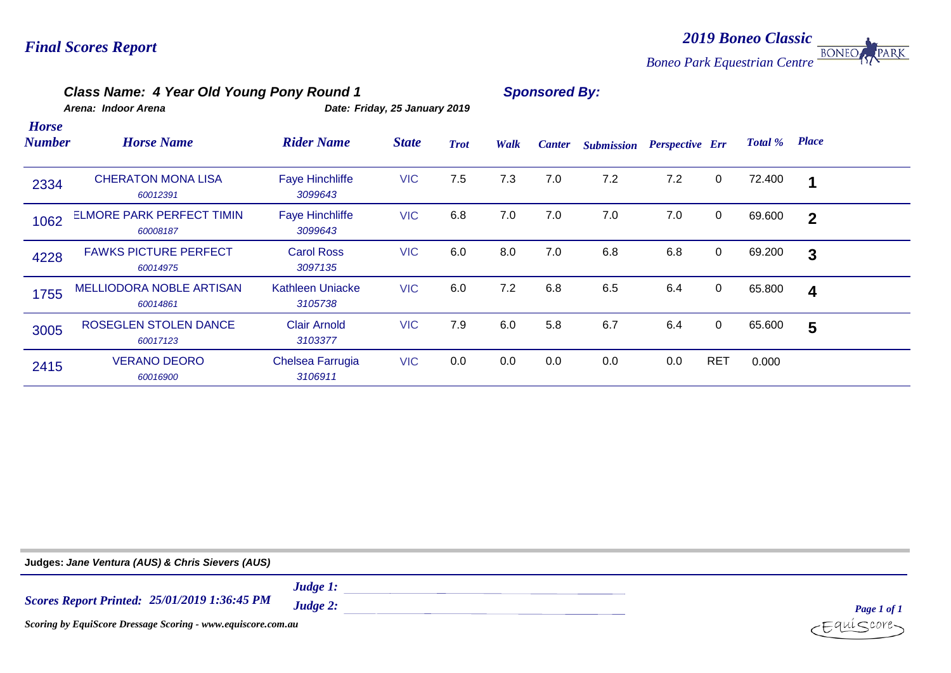### *2019 Boneo Classic* **BONEO** PARK *Boneo Park Equestrian Centre*

## *Class Name: 4 Year Old Young Pony Round 1 Sponsored By:*

*Arena: Indoor Arena Date: Friday, 25 January 2019 Horse* 

| <b>Number</b> | <b>Horse Name</b>                            | <b>Rider Name</b>                 | <b>State</b> | <b>Trot</b> | Walk | <b>Canter</b> | <b>Submission</b> | <b>Perspective Err</b> |             | Total % | <b>Place</b>            |  |
|---------------|----------------------------------------------|-----------------------------------|--------------|-------------|------|---------------|-------------------|------------------------|-------------|---------|-------------------------|--|
| 2334          | <b>CHERATON MONA LISA</b><br>60012391        | <b>Faye Hinchliffe</b><br>3099643 | <b>VIC</b>   | 7.5         | 7.3  | 7.0           | 7.2               | 7.2                    | $\mathbf 0$ | 72.400  | 1                       |  |
| 1062          | <b>ELMORE PARK PERFECT TIMIN</b><br>60008187 | <b>Faye Hinchliffe</b><br>3099643 | <b>VIC</b>   | 6.8         | 7.0  | 7.0           | 7.0               | 7.0                    | $\mathbf 0$ | 69.600  | $\overline{2}$          |  |
| 4228          | <b>FAWKS PICTURE PERFECT</b><br>60014975     | <b>Carol Ross</b><br>3097135      | <b>VIC</b>   | 6.0         | 8.0  | 7.0           | 6.8               | 6.8                    | $\mathbf 0$ | 69.200  | 3                       |  |
| 1755          | <b>MELLIODORA NOBLE ARTISAN</b><br>60014861  | Kathleen Uniacke<br>3105738       | <b>VIC</b>   | 6.0         | 7.2  | 6.8           | 6.5               | 6.4                    | $\mathbf 0$ | 65.800  | $\overline{\mathbf{4}}$ |  |
| 3005          | ROSEGLEN STOLEN DANCE<br>60017123            | <b>Clair Arnold</b><br>3103377    | <b>VIC</b>   | 7.9         | 6.0  | 5.8           | 6.7               | 6.4                    | $\mathbf 0$ | 65.600  | 5                       |  |
| 2415          | <b>VERANO DEORO</b><br>60016900              | Chelsea Farrugia<br>3106911       | <b>VIC</b>   | 0.0         | 0.0  | 0.0           | 0.0               | 0.0                    | <b>RET</b>  | 0.000   |                         |  |

**Judges:** *Jane Ventura (AUS) & Chris Sievers (AUS)Judge 1: 25/01/2019 1:36:45 PM Scores Report Printed: Judge 2: Page 1 of 1 Scoring by EquiScore Dressage Scoring - www.equiscore.com.au*  $&core$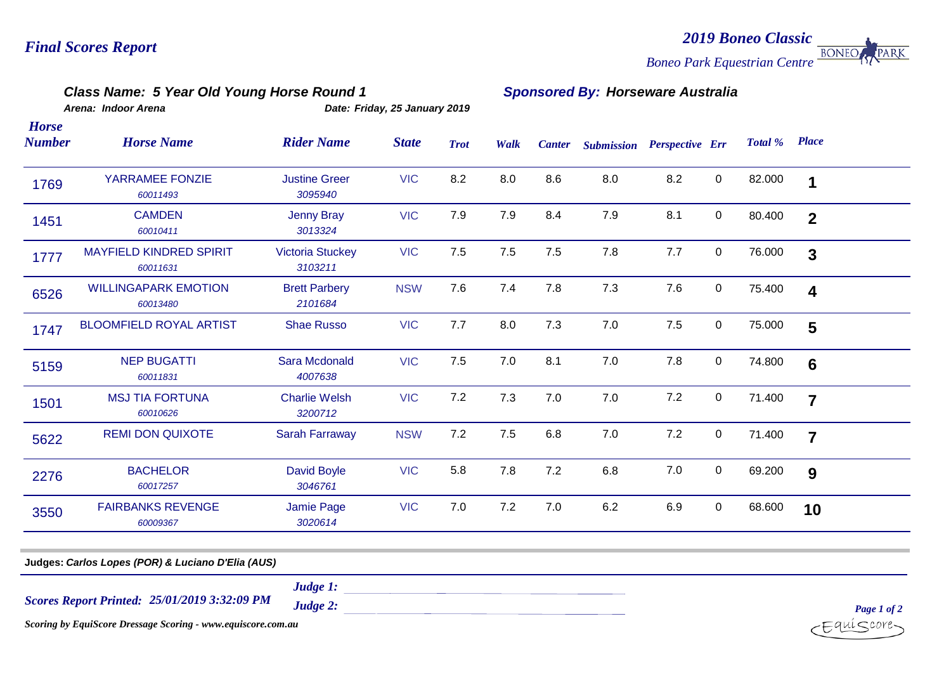### **BONEO** *Boneo Park Equestrian Centre*

*2019 Boneo Classic*

PARK

*Class Name: 5 Year Old Young Horse Round 1 Sponsored By: Horseware Australia*

*Arena: Indoor Arena Date: Friday, 25 January 2019*

*Horse* 

| <b>Number</b> | <b>Horse Name</b>                          | <b>Rider Name</b>                  | <b>State</b> | <b>Trot</b> | Walk | <b>Canter</b> | <b>Submission Perspective Err</b> |     |             | Total % | <b>Place</b>            |
|---------------|--------------------------------------------|------------------------------------|--------------|-------------|------|---------------|-----------------------------------|-----|-------------|---------|-------------------------|
| 1769          | YARRAMEE FONZIE<br>60011493                | <b>Justine Greer</b><br>3095940    | <b>VIC</b>   | 8.2         | 8.0  | 8.6           | 8.0                               | 8.2 | $\mathbf 0$ | 82.000  | 1                       |
| 1451          | <b>CAMDEN</b><br>60010411                  | <b>Jenny Bray</b><br>3013324       | <b>VIC</b>   | 7.9         | 7.9  | 8.4           | 7.9                               | 8.1 | $\pmb{0}$   | 80.400  | $\overline{2}$          |
| 1777          | <b>MAYFIELD KINDRED SPIRIT</b><br>60011631 | <b>Victoria Stuckey</b><br>3103211 | <b>VIC</b>   | 7.5         | 7.5  | 7.5           | 7.8                               | 7.7 | $\mathbf 0$ | 76.000  | $\overline{3}$          |
| 6526          | <b>WILLINGAPARK EMOTION</b><br>60013480    | <b>Brett Parbery</b><br>2101684    | <b>NSW</b>   | 7.6         | 7.4  | 7.8           | 7.3                               | 7.6 | $\mathbf 0$ | 75.400  | $\overline{\mathbf{4}}$ |
| 1747          | <b>BLOOMFIELD ROYAL ARTIST</b>             | <b>Shae Russo</b>                  | <b>VIC</b>   | 7.7         | 8.0  | 7.3           | 7.0                               | 7.5 | $\mathbf 0$ | 75.000  | 5                       |
| 5159          | <b>NEP BUGATTI</b><br>60011831             | Sara Mcdonald<br>4007638           | <b>VIC</b>   | 7.5         | 7.0  | 8.1           | 7.0                               | 7.8 | $\mathbf 0$ | 74.800  | $6\phantom{1}6$         |
| 1501          | <b>MSJ TIA FORTUNA</b><br>60010626         | <b>Charlie Welsh</b><br>3200712    | <b>VIC</b>   | 7.2         | 7.3  | 7.0           | 7.0                               | 7.2 | $\mathbf 0$ | 71.400  | $\overline{7}$          |
| 5622          | <b>REMI DON QUIXOTE</b>                    | <b>Sarah Farraway</b>              | <b>NSW</b>   | 7.2         | 7.5  | 6.8           | 7.0                               | 7.2 | $\mathbf 0$ | 71.400  | $\overline{7}$          |
| 2276          | <b>BACHELOR</b><br>60017257                | David Boyle<br>3046761             | <b>VIC</b>   | 5.8         | 7.8  | 7.2           | 6.8                               | 7.0 | 0           | 69.200  | 9                       |
| 3550          | <b>FAIRBANKS REVENGE</b><br>60009367       | Jamie Page<br>3020614              | <b>VIC</b>   | 7.0         | 7.2  | 7.0           | 6.2                               | 6.9 | $\mathbf 0$ | 68.600  | 10                      |

*25/01/2019 3:32:09 PM Scores Report Printed:*

*Judge 1:*

*Judge 2:* 

*Scoring by EquiScore Dressage Scoring - www.equiscore.com.au*

*Page 1 of 2*  $i$ <core-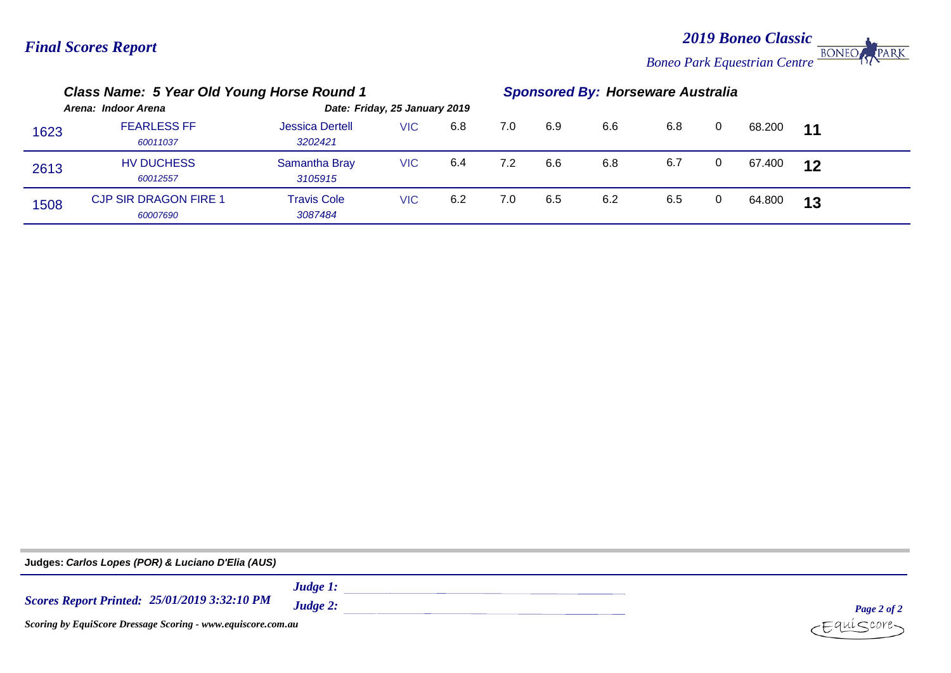*2019 Boneo Classic* **BONEO** *Boneo Park Equestrian Centre*

PARK

|      | Class Name: 5 Year Old Young Horse Round 1 |                                   |                               |     |     | <b>Sponsored By: Horseware Australia</b> |     |     |   |        |       |  |
|------|--------------------------------------------|-----------------------------------|-------------------------------|-----|-----|------------------------------------------|-----|-----|---|--------|-------|--|
|      | Arena: Indoor Arena                        |                                   | Date: Friday, 25 January 2019 |     |     |                                          |     |     |   |        |       |  |
| 1623 | <b>FEARLESS FF</b><br>60011037             | <b>Jessica Dertell</b><br>3202421 | VIC.                          | 6.8 | 7.0 | 6.9                                      | 6.6 | 6.8 | 0 | 68.200 | $-11$ |  |
| 2613 | <b>HV DUCHESS</b><br>60012557              | Samantha Bray<br>3105915          | VIC.                          | 6.4 | 7.2 | 6.6                                      | 6.8 | 6.7 | 0 | 67.400 | 12    |  |
| 1508 | <b>CJP SIR DRAGON FIRE 1</b><br>60007690   | <b>Travis Cole</b><br>3087484     | VIC.                          | 6.2 | 7.0 | 6.5                                      | 6.2 | 6.5 | 0 | 64.800 | 13    |  |

**Judges:** *Carlos Lopes (POR) & Luciano D'Elia (AUS)Judge 1: 25/01/2019 3:32:10 PM Scores Report Printed: Judge 2: Page 2 of 2 Scoring by EquiScore Dressage Scoring - www.equiscore.com.au*  $i$ <core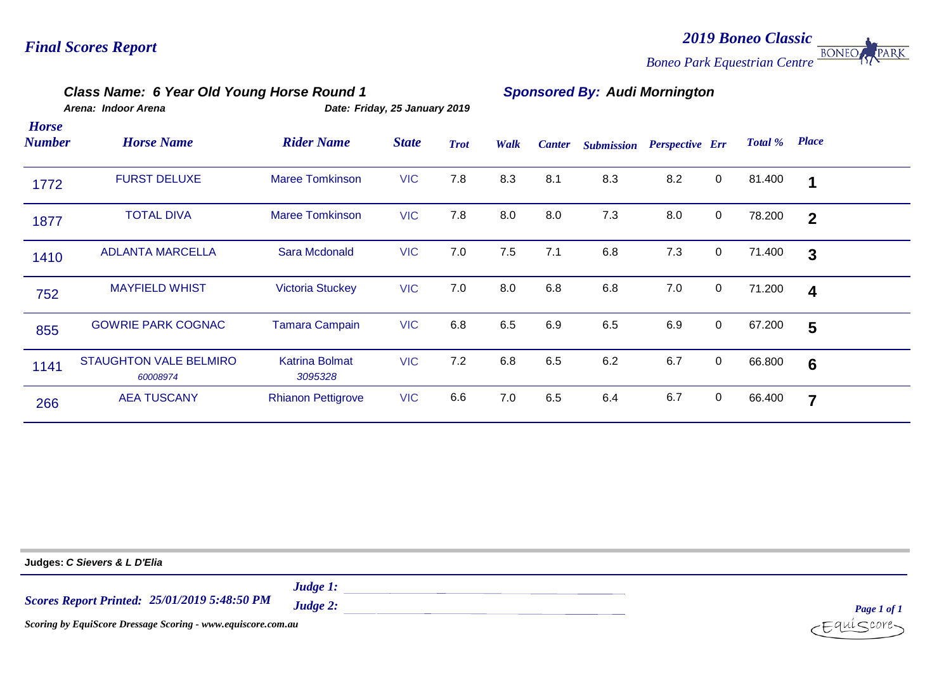### *2019 Boneo Classic* PARK **BONEO** *Boneo Park Equestrian Centre*

# *Class Name: 6 Year Old Young Horse Round 1 Sponsored By: Audi Mornington*

|                               | Arena: Indoor Arena                       |                                  | Date: Friday, 25 January 2019 |             |      |               |                   |                        |             |         |                  |  |
|-------------------------------|-------------------------------------------|----------------------------------|-------------------------------|-------------|------|---------------|-------------------|------------------------|-------------|---------|------------------|--|
| <b>Horse</b><br><b>Number</b> | <b>Horse Name</b>                         | <b>Rider Name</b>                | <b>State</b>                  | <b>Trot</b> | Walk | <b>Canter</b> | <b>Submission</b> | <b>Perspective Err</b> |             | Total % | <b>Place</b>     |  |
| 1772                          | <b>FURST DELUXE</b>                       | <b>Maree Tomkinson</b>           | <b>VIC</b>                    | 7.8         | 8.3  | 8.1           | 8.3               | 8.2                    | 0           | 81.400  | 1                |  |
| 1877                          | <b>TOTAL DIVA</b>                         | <b>Maree Tomkinson</b>           | <b>VIC</b>                    | 7.8         | 8.0  | 8.0           | 7.3               | 8.0                    | $\mathbf 0$ | 78.200  | $\mathbf{2}$     |  |
| 1410                          | <b>ADLANTA MARCELLA</b>                   | Sara Mcdonald                    | <b>VIC</b>                    | 7.0         | 7.5  | 7.1           | 6.8               | 7.3                    | $\mathbf 0$ | 71.400  | 3                |  |
| 752                           | <b>MAYFIELD WHIST</b>                     | <b>Victoria Stuckey</b>          | <b>VIC</b>                    | 7.0         | 8.0  | 6.8           | 6.8               | 7.0                    | $\mathbf 0$ | 71.200  | $\boldsymbol{4}$ |  |
| 855                           | <b>GOWRIE PARK COGNAC</b>                 | <b>Tamara Campain</b>            | <b>VIC</b>                    | 6.8         | 6.5  | 6.9           | 6.5               | 6.9                    | 0           | 67.200  | 5                |  |
| 1141                          | <b>STAUGHTON VALE BELMIRO</b><br>60008974 | <b>Katrina Bolmat</b><br>3095328 | <b>VIC</b>                    | 7.2         | 6.8  | 6.5           | 6.2               | 6.7                    | $\mathbf 0$ | 66.800  | $6\phantom{1}6$  |  |
| 266                           | <b>AEA TUSCANY</b>                        | <b>Rhianon Pettigrove</b>        | <b>VIC</b>                    | 6.6         | 7.0  | 6.5           | 6.4               | 6.7                    | $\mathbf 0$ | 66.400  | 7                |  |

| Judges: C Sievers & L D'Elia                                        |                         |                   |  |  |  |  |  |  |  |
|---------------------------------------------------------------------|-------------------------|-------------------|--|--|--|--|--|--|--|
| <b>Scores Report Printed: 25/01/2019 5:48:50 PM</b>                 | Judge $1$ :<br>Judge 2: | Page 1 of 1       |  |  |  |  |  |  |  |
| <b>Scoring by EquiScore Dressage Scoring - www.equiscore.com.au</b> |                         | $c$ Equí $S$ core |  |  |  |  |  |  |  |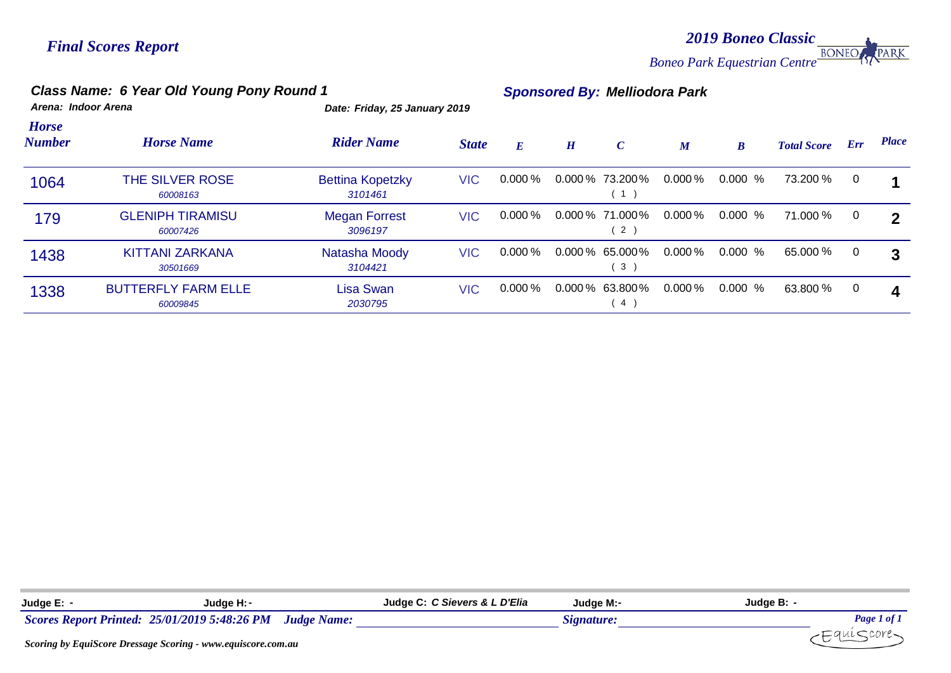*2019 Boneo Classic Boneo Park Equestrian Centre* PARK

# *Class Name: 6 Year Old Young Pony Round 1 Sponsored By: Melliodora Park*

| Arena: Indoor A |  |  |
|-----------------|--|--|
|                 |  |  |

*Arena: Indoor Arena Date: Friday, 25 January 2019*

| <b>Horse</b><br><b>Number</b> | <b>Horse Name</b>                      | <b>Rider Name</b>                  | <b>State</b> | E         | $\boldsymbol{H}$ | $\mathcal{C}$                       | $\boldsymbol{M}$ | $\boldsymbol{B}$ | <b>Total Score</b> | Err | <b>Place</b>               |
|-------------------------------|----------------------------------------|------------------------------------|--------------|-----------|------------------|-------------------------------------|------------------|------------------|--------------------|-----|----------------------------|
| 1064                          | THE SILVER ROSE<br>60008163            | <b>Bettina Kopetzky</b><br>3101461 | <b>VIC</b>   | $0.000\%$ |                  | $0.000\%$ 73.200%<br>(1)            | $0.000\,\%$      | 0.000<br>%       | 73.200 %           | 0   |                            |
| 179                           | <b>GLENIPH TIRAMISU</b><br>60007426    | <b>Megan Forrest</b><br>3096197    | <b>VIC</b>   | $0.000\%$ |                  | $0.000\%$ 71.000%<br>2)             | $0.000\,\%$      | 0.000%           | 71.000 %           | 0   | $\boldsymbol{\mathcal{P}}$ |
| 1438                          | <b>KITTANI ZARKANA</b><br>30501669     | Natasha Moody<br>3104421           | <b>VIC</b>   | $0.000\%$ |                  | $0.000\%$ 65.000%<br>3 <sup>2</sup> | $0.000\,\%$      | $0.000 \%$       | 65.000 %           | 0   | 3                          |
| 1338                          | <b>BUTTERFLY FARM ELLE</b><br>60009845 | Lisa Swan<br>2030795               | <b>VIC</b>   | $0.000\%$ |                  | $0.000\%$ 63.800%<br>4              | $0.000\,\%$      | 0.000<br>%       | 63.800 %           | 0   | 4                          |

| Judge E:         | Judge H: -                                   |                    | Judge C: C Sievers & L D'Elia | Judge M:-  | Judge B:    |
|------------------|----------------------------------------------|--------------------|-------------------------------|------------|-------------|
|                  | Scores Report Printed: 25/01/2019 5:48:26 PM | <b>Judge Name:</b> |                               | Signature: | Page 1 of 1 |
| ________________ |                                              |                    |                               |            |             |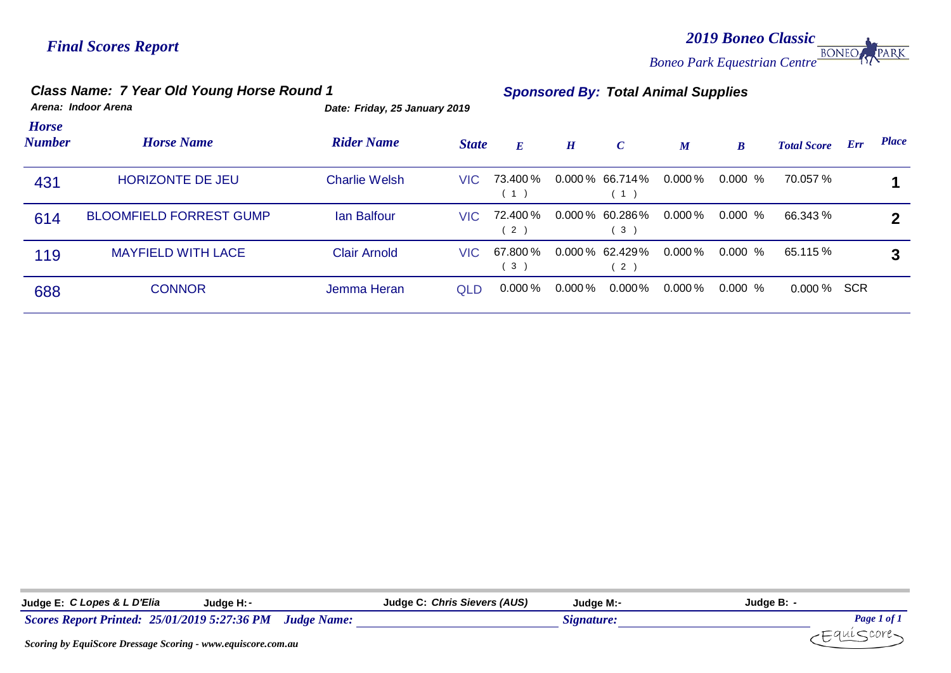*2019 Boneo Classic Boneo Park Equestrian Centre* PARK

# *Class Name: 7 Year Old Young Horse Round 1 Sponsored By: Total Animal Supplies*

| <b>Horse</b><br>Number | <b>Horse Name</b>              | <b>Rider Name</b>    | <b>State</b> | E                          | H           | $\mathcal{C}$                       | $\boldsymbol{M}$ | $\boldsymbol{B}$ | <b>Total Score</b> | Err | <b>Place</b> |
|------------------------|--------------------------------|----------------------|--------------|----------------------------|-------------|-------------------------------------|------------------|------------------|--------------------|-----|--------------|
| 431                    | <b>HORIZONTE DE JEU</b>        | <b>Charlie Welsh</b> | VIC.         | 73.400 %                   |             | $0.000\,\%$ 66.714%<br>1)           | 0.000 %          | 0.000 %          | 70.057 %           |     |              |
| 614                    | <b>BLOOMFIELD FORREST GUMP</b> | <b>Ian Balfour</b>   | VIC.         | 72.400 %<br>$\overline{2}$ |             | $0.000\,\%$ 60.286%<br>3            | $0.000\,\%$      | $0.000 \%$       | 66.343 %           |     | າ            |
| 119                    | <b>MAYFIELD WITH LACE</b>      | <b>Clair Arnold</b>  | VIC.         | 67.800%<br>$\mathbf{3}$    |             | $0.000\%$ 62.429%<br>2 <sup>1</sup> | $0.000\,\%$      | $0.000\%$        | 65.115 %           |     | 3            |
| 688                    | <b>CONNOR</b>                  | Jemma Heran          | <b>QLD</b>   | $0.000\,\%$                | $0.000\,\%$ | $0.000\%$                           | $0.000\,\%$      | $0.000 \%$       | $0.000\%$ SCR      |     |              |

*Arena: Indoor Arena Date: Friday, 25 January 2019*

| Judge E: C Lopes & L D'Elia<br>Judae H: -                        | Judge C: Chris Sievers (AUS) | Judae M:-  | Judge B: -  |
|------------------------------------------------------------------|------------------------------|------------|-------------|
| Scores Report Printed: 25/01/2019 5:27:36 PM Judge Name:         |                              | Signature: | Page 1 of 1 |
| Securing by Faui Secue Dressage Securing Annum carrieogue com an |                              |            |             |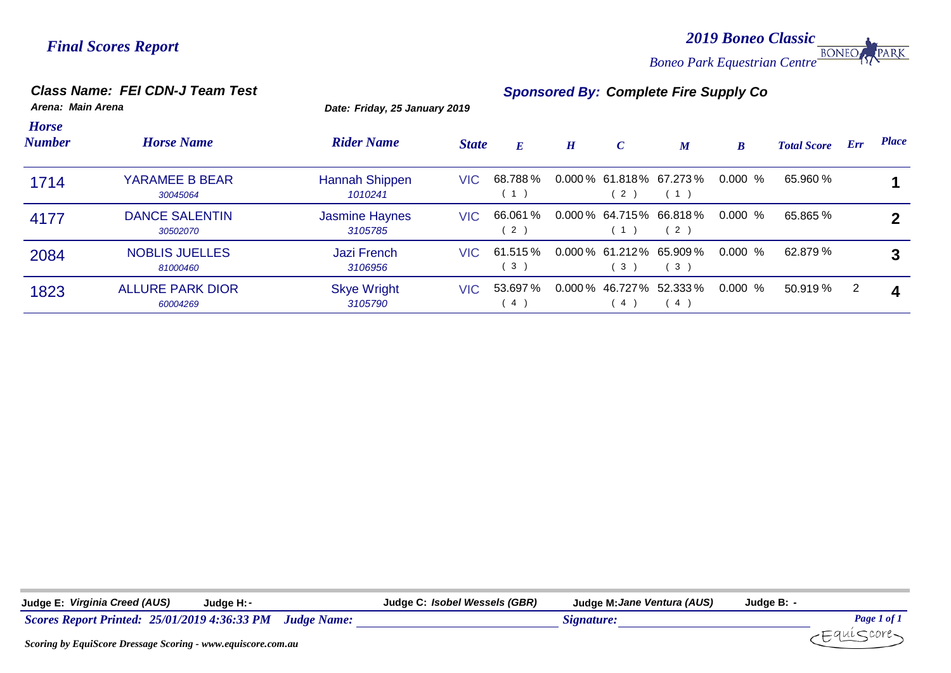*2019 Boneo Classic Boneo Park Equestrian Centre* PARK

*Class Name: FEI CDN-J Team Test Sponsored By: Complete Fire Supply Co*

| Arena: Main Arena             |                                     | Date: Friday, 25 January 2019    |              |                |   |                |                                          |                  |                    |                |              |
|-------------------------------|-------------------------------------|----------------------------------|--------------|----------------|---|----------------|------------------------------------------|------------------|--------------------|----------------|--------------|
| <b>Horse</b><br><b>Number</b> | <b>Horse Name</b>                   | <b>Rider Name</b>                | <b>State</b> | E              | H | $\mathcal{C}$  | $\boldsymbol{M}$                         | $\boldsymbol{B}$ | <b>Total Score</b> | Err            | <b>Place</b> |
| 1714                          | YARAMEE B BEAR<br>30045064          | <b>Hannah Shippen</b><br>1010241 | VIC.         | 68.788%<br>1)  |   | 2)             | $0.000\%$ 61.818% 67.273%<br>(1)         | 0.000 %          | 65.960 %           |                |              |
| 4177                          | <b>DANCE SALENTIN</b><br>30502070   | <b>Jasmine Haynes</b><br>3105785 | VIC.         | 66.061 %<br>2) |   | (1)            | 0.000 % 64.715 % 66.818 %<br>$2^{\circ}$ | $0.000\%$        | 65.865 %           |                |              |
| 2084                          | <b>NOBLIS JUELLES</b><br>81000460   | <b>Jazi French</b><br>3106956    | VIC.         | 61.515 %<br>3) |   | 3 <sup>2</sup> | $0.000\%$ 61.212% 65.909%<br>3)          | $0.000\%$        | 62.879 %           |                | 3            |
| 1823                          | <b>ALLURE PARK DIOR</b><br>60004269 | <b>Skye Wright</b><br>3105790    | VIC -        | 53.697 %<br>4) |   | $\sim$ 4       | $0.000\%$ 46.727% 52.333%<br>4           | $0.000\%$        | 50.919 %           | $\overline{2}$ | Δ            |

| Judge E: Virginia Creed (AUS)<br>Judge H: -                     | Judge C: Isobel Wessels (GBR)<br>Judge M: Jane Ventura (AUS) | Judge B: -  |
|-----------------------------------------------------------------|--------------------------------------------------------------|-------------|
| Scores Report Printed: 25/01/2019 4:36:33 PM Judge Name:        | Signature:                                                   | Page 1 of 1 |
| Seeming by Faui Seeme Dressgoog Seeming them agriculate compare |                                                              | -Equiscore- |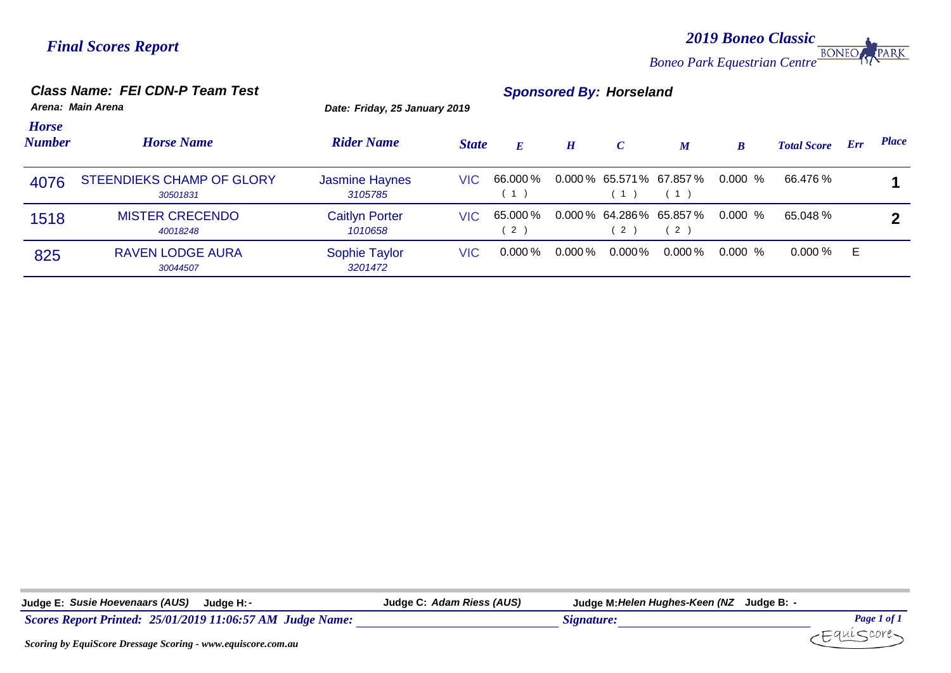*2019 Boneo Classic Boneo Park Equestrian Centre* PARK

# *Class Name: FEI CDN-P Team Test Sponsored By: Horseland*

|                               | Arena: Main Arena                            | Date: Friday, 25 January 2019    |              |                 |             |               |                                  |                  |                    |     |              |
|-------------------------------|----------------------------------------------|----------------------------------|--------------|-----------------|-------------|---------------|----------------------------------|------------------|--------------------|-----|--------------|
| <b>Horse</b><br><b>Number</b> | <b>Horse Name</b>                            | <b>Rider Name</b>                | <b>State</b> | $\bm{E}$        | H           | $\mathcal{C}$ | $\boldsymbol{M}$                 | $\boldsymbol{B}$ | <b>Total Score</b> | Err | <b>Place</b> |
| 4076                          | <b>STEENDIEKS CHAMP OF GLORY</b><br>30501831 | <b>Jasmine Haynes</b><br>3105785 | VIC.         | 66.000%<br>(1)  |             | (1)           | $0.000\%$ 65.571% 67.857%<br>(1) | 0.000 %          | 66.476 %           |     |              |
| 1518                          | <b>MISTER CRECENDO</b><br>40018248           | <b>Caitlyn Porter</b><br>1010658 | VIC.         | 65.000 %<br>(2) |             | 2)            | $0.000\%$ 64.286% 65.857%<br>2   | $0.000\%$        | 65.048 %           |     |              |
| 825                           | <b>RAVEN LODGE AURA</b><br>30044507          | Sophie Taylor<br>3201472         | <b>VIC</b>   | $0.000\,\%$     | $0.000\,\%$ | $0.000\%$     | $0.000\,\%$                      | $0.000\%$        | $0.000\,\%$        | Е   |              |

| Judge E: Susie Hoevenaars (AUS)<br>Judge H: -             | Judge C: Adam Riess (AUS) | Judge M: Helen Hughes-Keen (NZ Judge B: - |             |
|-----------------------------------------------------------|---------------------------|-------------------------------------------|-------------|
| Scores Report Printed: 25/01/2019 11:06:57 AM Judge Name: |                           | <i>Signature.</i>                         | Page 1 of 1 |
|                                                           |                           |                                           |             |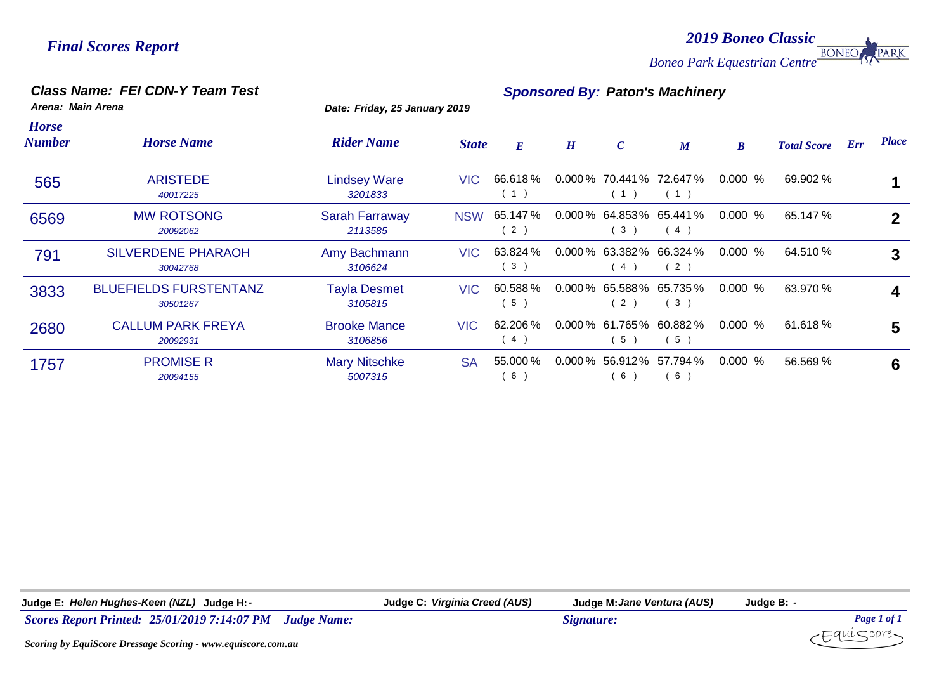*2019 Boneo Classic Boneo Park Equestrian Centre*

# *Class Name: FEI CDN-Y Team Test Sponsored By: Paton's Machinery*

*Arena: Main Arena Date: Friday, 25 January 2019*

| <b>Horse</b><br><b>Number</b> | <b>Horse Name</b>                         | <b>Rider Name</b>                | <b>State</b> | $E_{\parallel}$ | H | $\boldsymbol{C}$ | $\boldsymbol{M}$                  | $\boldsymbol{B}$ | <b>Total Score</b> | Err | <b>Place</b> |
|-------------------------------|-------------------------------------------|----------------------------------|--------------|-----------------|---|------------------|-----------------------------------|------------------|--------------------|-----|--------------|
| 565                           | <b>ARISTEDE</b><br>40017225               | <b>Lindsey Ware</b><br>3201833   | VIC.         | 66.618%<br>(1)  |   | (1)              | $0.000\%$ 70.441% 72.647%<br>(1)  | $0.000 \%$       | 69.902 %           |     |              |
| 6569                          | <b>MW ROTSONG</b><br>20092062             | <b>Sarah Farraway</b><br>2113585 | <b>NSW</b>   | 65.147%<br>2)   |   | (3)              | 0.000 % 64.853 % 65.441 %<br>(4)  | $0.000 \%$       | 65.147 %           |     | $\mathbf{2}$ |
| 791                           | <b>SILVERDENE PHARAOH</b><br>30042768     | Amy Bachmann<br>3106624          | VIC          | 63.824 %<br>3)  |   | (4)              | $0.000\%$ 63.382% 66.324%<br>(2)  | $0.000 \%$       | 64.510 %           |     | 3            |
| 3833                          | <b>BLUEFIELDS FURSTENTANZ</b><br>30501267 | <b>Tayla Desmet</b><br>3105815   | VIC.         | 60.588%<br>5)   |   | (2)              | $0.000\%$ 65.588% 65.735%<br>(3)  | $0.000 \%$       | 63.970 %           |     |              |
| 2680                          | <b>CALLUM PARK FREYA</b><br>20092931      | <b>Brooke Mance</b><br>3106856   | VIC.         | 62.206%<br>4)   |   | 5)               | $0.000\%$ 61.765% 60.882%<br>5)   | $0.000 \%$       | 61.618 %           |     | 5            |
| 1757                          | <b>PROMISE R</b><br>20094155              | <b>Mary Nitschke</b><br>5007315  | <b>SA</b>    | 55.000 %<br>6)  |   | 6)               | $0.000\%$ 56.912\% 57.794\%<br>6) | 0.000%           | 56.569 %           |     | 6            |

| Judge E: Helen Hughes-Keen (NZL) Judge H: -                                                                             | Judge C: Virginia Creed (AUS) | Judge M: Jane Ventura (AUS) | Judge B: -         |
|-------------------------------------------------------------------------------------------------------------------------|-------------------------------|-----------------------------|--------------------|
| Scores Report Printed: 25/01/2019 7:14:07 PM Judge Name:                                                                |                               | Signature:                  | Page 1 of          |
| $\alpha$ . $\alpha$ is the state of $\alpha$ is the state of $\alpha$ is the state of $\alpha$ is the state of $\alpha$ |                               |                             | $H$ qui $\sim$ uro |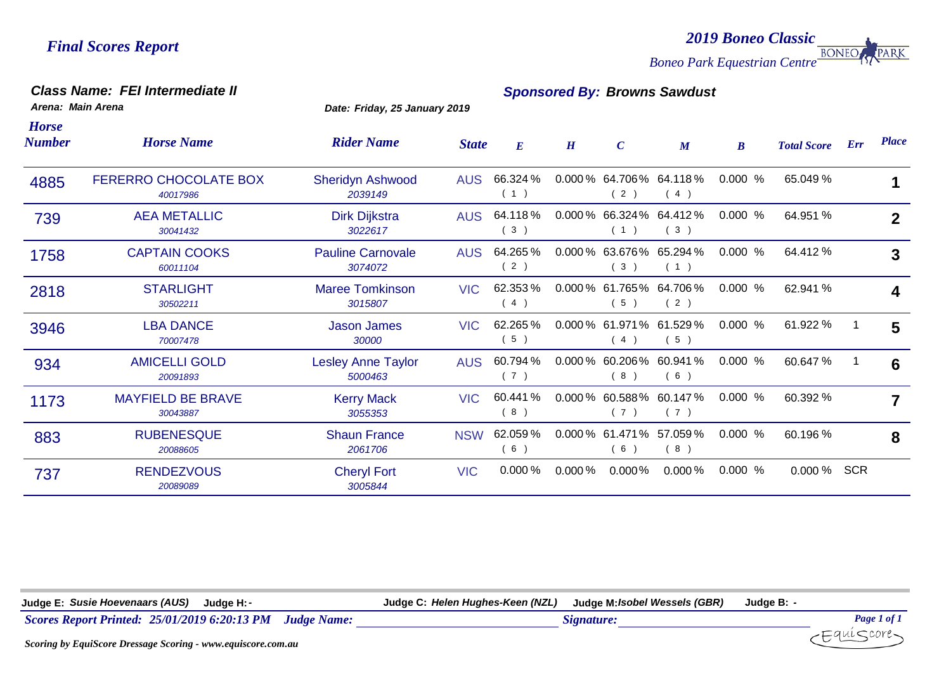*2019 Boneo Classic Boneo Park Equestrian Centre* PARK

### *Class Name: FEI Intermediate II Sponsored By: Browns Sawdust*

*Arena: Main Arena Date: Friday, 25 January 2019*

| <b>Horse</b><br><b>Number</b> | <b>Horse Name</b>                        | <b>Rider Name</b>                    | <b>State</b> | E               | H           | $\boldsymbol{C}$         | $\boldsymbol{M}$                 | $\boldsymbol{B}$ | <b>Total Score</b> | Err        | <b>Place</b> |
|-------------------------------|------------------------------------------|--------------------------------------|--------------|-----------------|-------------|--------------------------|----------------------------------|------------------|--------------------|------------|--------------|
| 4885                          | <b>FERERRO CHOCOLATE BOX</b><br>40017986 | <b>Sheridyn Ashwood</b><br>2039149   | <b>AUS</b>   | 66.324 %<br>(1) |             | (2)                      | 0.000 % 64.706 % 64.118 %<br>(4) | 0.000%           | 65.049 %           |            | 1            |
| 739                           | <b>AEA METALLIC</b><br>30041432          | Dirk Dijkstra<br>3022617             | <b>AUS</b>   | 64.118%<br>3)   |             | (1)                      | 0.000 % 66.324 % 64.412 %<br>(3) | 0.000 %          | 64.951 %           |            | $\mathbf{2}$ |
| 1758                          | <b>CAPTAIN COOKS</b><br>60011104         | <b>Pauline Carnovale</b><br>3074072  | <b>AUS</b>   | 64.265%<br>(2)  |             | (3)                      | 0.000 % 63.676 % 65.294 %<br>(1) | 0.000 %          | 64.412 %           |            | 3            |
| 2818                          | <b>STARLIGHT</b><br>30502211             | <b>Maree Tomkinson</b><br>3015807    | <b>VIC</b>   | 62.353%<br>(4)  |             | (5)                      | 0.000 % 61.765 % 64.706 %<br>(2) | 0.000%           | 62.941 %           |            | 4            |
| 3946                          | <b>LBA DANCE</b><br>70007478             | <b>Jason James</b><br>30000          | <b>VIC</b>   | 62.265%<br>5)   |             | (4)                      | 0.000 % 61.971 % 61.529 %<br>(5) | 0.000 %          | 61.922 %           |            | 5            |
| 934                           | <b>AMICELLI GOLD</b><br>20091893         | <b>Lesley Anne Taylor</b><br>5000463 | <b>AUS</b>   | 60.794 %<br>(7) |             | $0.000\%$ 60.206%<br>(8) | 60.941%<br>(6)                   | 0.000 %          | 60.647 %           |            | 6            |
| 1173                          | <b>MAYFIELD BE BRAVE</b><br>30043887     | <b>Kerry Mack</b><br>3055353         | <b>VIC</b>   | 60.441 %<br>(8) |             | (7)                      | 0.000 % 60.588 % 60.147 %<br>(7) | 0.000 %          | 60.392 %           |            | 7            |
| 883                           | <b>RUBENESQUE</b><br>20088605            | <b>Shaun France</b><br>2061706       | <b>NSW</b>   | 62.059%<br>(6)  |             | (6)                      | 0.000 % 61.471 % 57.059 %<br>(8) | 0.000%           | 60.196 %           |            | 8            |
| 737                           | <b>RENDEZVOUS</b><br>20089089            | <b>Cheryl Fort</b><br>3005844        | <b>VIC</b>   | $0.000\%$       | $0.000\,\%$ | $0.000\%$                | $0.000\%$                        | 0.000 %          | 0.000%             | <b>SCR</b> |              |

**Judge E:** *Susie Hoevenaars (AUS)* **Judge H:***-* **Judge C:** *Helen Hughes-Keen (NZL)* **Judge M:***Isobel Wessels (GBR)* **Judge B:** *-*

*Scores Report Printed: 25/01/2019 6:20:13 PM Judge Name: Signature: Page 1 of 1*

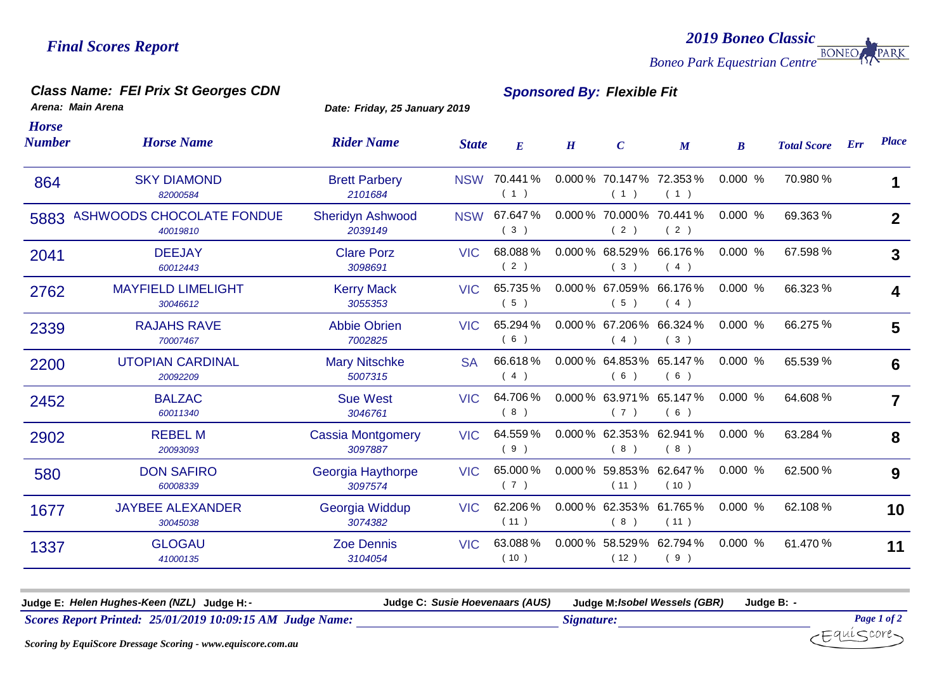*2019 Boneo Classic Boneo Park Equestrian Centre* **PARK** 

# *Class Name: FEI Prix St Georges CDN Sponsored By: Flexible Fit*

*Arena: Main Arena Date: Friday, 25 January 2019*

| <b>Horse Name</b>                            | <b>Rider Name</b>                   |            | $E_{\parallel}$ | H                          | $\mathcal{C}$ | $\boldsymbol{M}$ | $\boldsymbol{B}$                                                                                                                                                                                                                                                                                                    | <b>Total Score</b> | <b>Place</b>   |
|----------------------------------------------|-------------------------------------|------------|-----------------|----------------------------|---------------|------------------|---------------------------------------------------------------------------------------------------------------------------------------------------------------------------------------------------------------------------------------------------------------------------------------------------------------------|--------------------|----------------|
| <b>SKY DIAMOND</b><br>82000584               | <b>Brett Parbery</b><br>2101684     |            | 70.441%<br>(1)  |                            | (1)           | (1)              | 0.000%                                                                                                                                                                                                                                                                                                              | 70.980 %           | 1              |
| <b>ASHWOODS CHOCOLATE FONDUE</b><br>40019810 | <b>Sheridyn Ashwood</b><br>2039149  | <b>NSW</b> | 67.647%<br>(3)  |                            | (2)           | (2)              | 0.000%                                                                                                                                                                                                                                                                                                              | 69.363 %           | $\mathbf{2}$   |
| <b>DEEJAY</b><br>60012443                    | <b>Clare Porz</b><br>3098691        | <b>VIC</b> | 68.088%<br>(2)  |                            | (3)           | (4)              | 0.000%                                                                                                                                                                                                                                                                                                              | 67.598 %           | 3              |
| <b>MAYFIELD LIMELIGHT</b><br>30046612        | <b>Kerry Mack</b><br>3055353        | <b>VIC</b> | 65.735%<br>(5)  |                            | (5)           | (4)              | 0.000%                                                                                                                                                                                                                                                                                                              | 66.323 %           | 4              |
| <b>RAJAHS RAVE</b><br>70007467               | <b>Abbie Obrien</b><br>7002825      | <b>VIC</b> | 65.294 %<br>(6) |                            | (4)           | (3)              | 0.000%                                                                                                                                                                                                                                                                                                              | 66.275 %           | 5              |
| <b>UTOPIAN CARDINAL</b><br>20092209          | <b>Mary Nitschke</b><br>5007315     | <b>SA</b>  | 66.618%<br>(4)  |                            | (6)           | (6)              | 0.000%                                                                                                                                                                                                                                                                                                              | 65.539 %           | 6              |
| <b>BALZAC</b><br>60011340                    | <b>Sue West</b><br>3046761          | <b>VIC</b> | 64.706%<br>(8)  |                            | (7)           | (6)              | $0.000\%$                                                                                                                                                                                                                                                                                                           | 64.608 %           | $\overline{7}$ |
| <b>REBEL M</b><br>20093093                   | <b>Cassia Montgomery</b><br>3097887 | <b>VIC</b> | 64.559%<br>(9)  |                            | (8)           | (8)              | 0.000%                                                                                                                                                                                                                                                                                                              | 63.284 %           | 8              |
| <b>DON SAFIRO</b><br>60008339                | Georgia Haythorpe<br>3097574        | <b>VIC</b> | 65.000 %<br>(7) |                            | (11)          | 62.647%<br>(10)  | 0.000%                                                                                                                                                                                                                                                                                                              | 62.500 %           | 9              |
| <b>JAYBEE ALEXANDER</b><br>30045038          | Georgia Widdup<br>3074382           | <b>VIC</b> | 62.206%<br>(11) |                            | (8)           | (11)             | 0.000%                                                                                                                                                                                                                                                                                                              | 62.108 %           | 10             |
| <b>GLOGAU</b><br>41000135                    | <b>Zoe Dennis</b><br>3104054        | <b>VIC</b> | 63.088%<br>(10) |                            | (12)          | (9)              | 0.000%                                                                                                                                                                                                                                                                                                              | 61.470 %           | 11             |
|                                              | <b>Number</b><br>5883               |            |                 | <b>State</b><br><b>NSW</b> |               |                  | 0.000 % 70.147 % 72.353 %<br>0.000 % 70.000 % 70.441 %<br>$0.000\%$ 68.529% 66.176%<br>0.000 % 67.059 % 66.176 %<br>$0.000\%$ 67.206% 66.324%<br>$0.000\%$ 64.853% 65.147%<br>0.000 % 63.971 % 65.147 %<br>0.000 % 62.353 % 62.941 %<br>$0.000\%$ 59.853%<br>0.000 % 62.353 % 61.765 %<br>0.000 % 58.529 % 62.794 % |                    | Err            |

| <b>Helen Huahes-Keen (NZL</b><br>Judge F<br>Judae H:                   | <b>Susie Hoevenaars (AUS)</b><br>Judge <sup>r</sup> | Judge M: Isobel Wessels (GBR) | Judge B. |                                          |
|------------------------------------------------------------------------|-----------------------------------------------------|-------------------------------|----------|------------------------------------------|
| <b>Scores Report Printed:</b><br>25/01/2019 10:09:15 AM<br>Judge Name: |                                                     | Signature.                    |          | $\boldsymbol{\nu}_{\boldsymbol{\theta}}$ |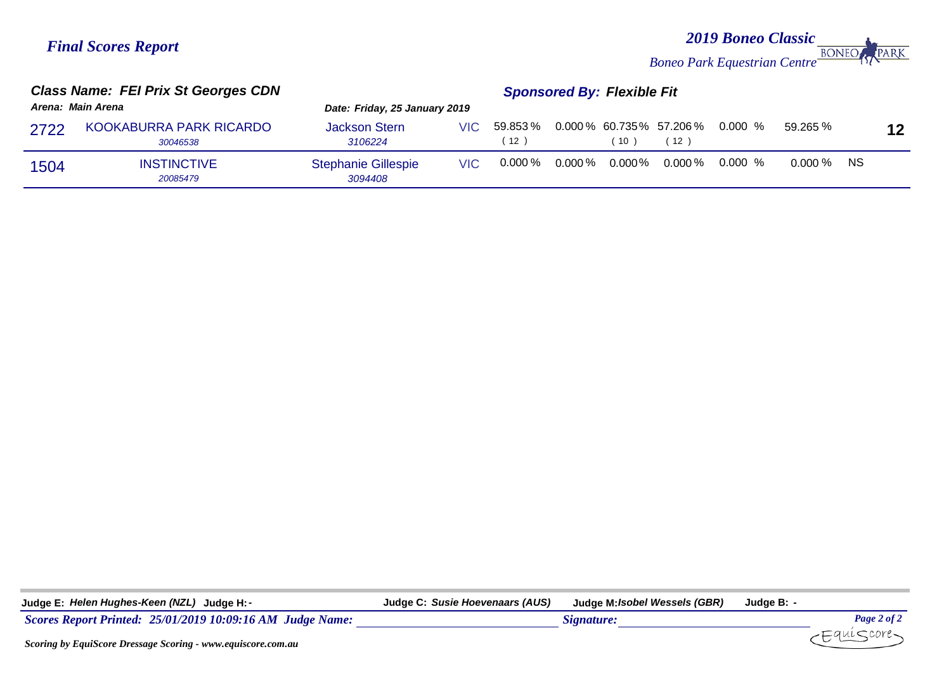## *2019 Boneo Classic Boneo Park Equestrian Centre* PARK

| Arena: Main Arena |                                     | Date: Friday, 25 January 2019         |      |                                   |    |      |                                                |              |                 |
|-------------------|-------------------------------------|---------------------------------------|------|-----------------------------------|----|------|------------------------------------------------|--------------|-----------------|
|                   |                                     |                                       |      |                                   |    |      |                                                |              |                 |
| 2722              | KOOKABURRA PARK RICARDO<br>30046538 | <b>Jackson Stern</b><br>3106224       |      | 12                                | 10 | ່ 12 | VIC 59.853 % 0.000 % 60.735 % 57.206 % 0.000 % | 59.265 %     | 12 <sub>2</sub> |
| 1504              | <b>INSTINCTIVE</b><br>20085479      | <b>Stephanie Gillespie</b><br>3094408 | VIC. | $0.000\,\%$ 0.000 $\%$ 0.000 $\%$ |    |      | $0.000\,\%$ 0.000 %                            | $0.000\%$ NS |                 |

| Judge E: Helen Hughes-Keen (NZL) Judge H: -                  | Judge C: Susie Hoevenaars (AUS) | Judge M: <i>Isobel Wessels (GBR)</i> | Judge B: <i>-</i> |             |
|--------------------------------------------------------------|---------------------------------|--------------------------------------|-------------------|-------------|
| Scores Report Printed: 25/01/2019 10:09:16 AM Judge Name:    |                                 | Signature:                           |                   | Page 2 of 2 |
| Scoring by EquiScore Dressage Scoring - www.equiscore.com.au |                                 |                                      |                   | -Equiscore  |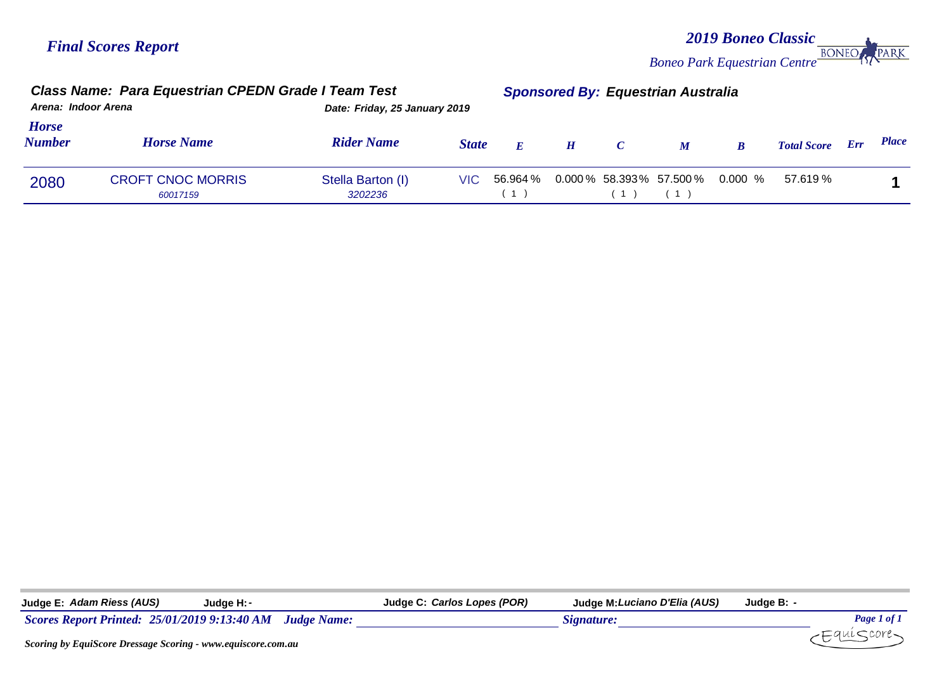*2019 Boneo Classic Boneo Park Equestrian Centre* **PARK** 

|                               | Class Name: Para Equestrian CPEDN Grade I Team Test<br>Arena: Indoor Arena<br>Date: Friday, 25 January 2019 |                              |              | <b>Sponsored By: Equestrian Australia</b> |   |               |                                   |   |                    |     |              |
|-------------------------------|-------------------------------------------------------------------------------------------------------------|------------------------------|--------------|-------------------------------------------|---|---------------|-----------------------------------|---|--------------------|-----|--------------|
| <b>Horse</b><br><b>Number</b> | <b>Horse Name</b>                                                                                           | <b>Rider Name</b>            | <b>State</b> | $\bm{F}$                                  | H | $\mathcal{C}$ | $\boldsymbol{M}$                  | R | <b>Total Score</b> | Err | <b>Place</b> |
| 2080                          | <b>CROFT CNOC MORRIS</b><br>60017159                                                                        | Stella Barton (I)<br>3202236 | VIC.         | 56.964 %                                  |   |               | $0.000\%$ 58.393% 57.500% 0.000 % |   | 57.619 %           |     |              |

| Judge E: A <i>dam Riess (AUS)</i>                                   | Judge H: -                                               | Judge C: <i>Carlos Lopes (POR)</i> | Judge M: Luciano D'Elia (AUS) | Judge B: - |             |
|---------------------------------------------------------------------|----------------------------------------------------------|------------------------------------|-------------------------------|------------|-------------|
|                                                                     | Scores Report Printed: 25/01/2019 9:13:40 AM Judge Name: |                                    | Signature:                    |            | Page 1 of 1 |
| <b>Scoring by EquiScore Dressage Scoring - www.equiscore.com.au</b> |                                                          |                                    |                               |            | Equiscore-  |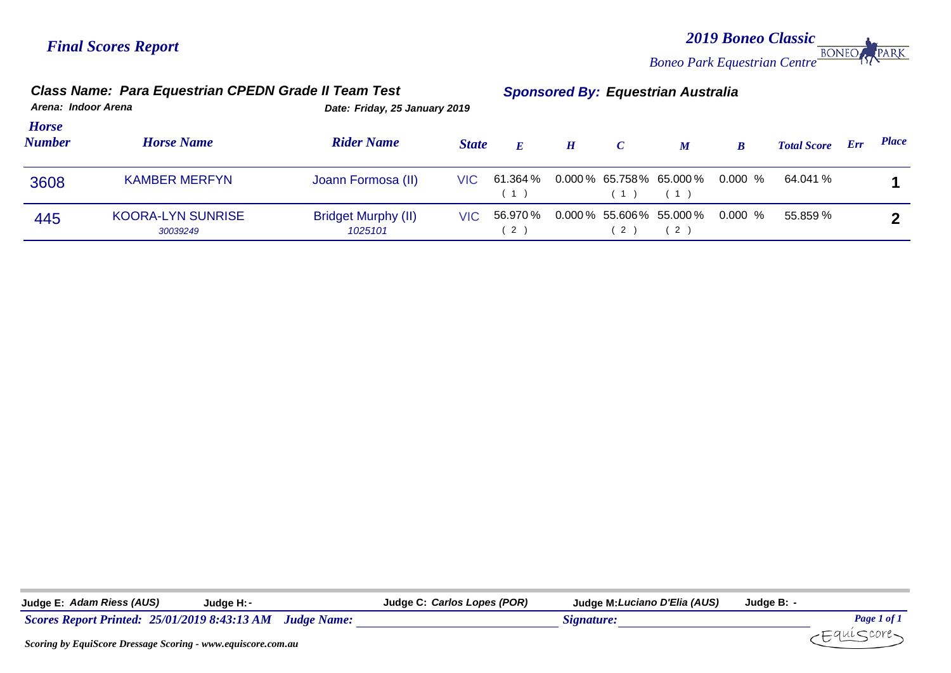*2019 Boneo Classic* PARK *Boneo Park Equestrian Centre*

| <b>Class Name: Para Equestrian CPEDN Grade II Team Test</b><br>Arena: Indoor Arena<br>Date: Friday, 25 January 2019 |                                      |                                       |              | <b>Sponsored By: Equestrian Australia</b> |   |               |                                    |                                   |                    |     |              |
|---------------------------------------------------------------------------------------------------------------------|--------------------------------------|---------------------------------------|--------------|-------------------------------------------|---|---------------|------------------------------------|-----------------------------------|--------------------|-----|--------------|
| <b>Horse</b><br><b>Number</b>                                                                                       | <b>Horse Name</b>                    | <b>Rider Name</b>                     | <b>State</b> | $\bm{E}$                                  | H | $\mathcal{C}$ | $\boldsymbol{M}$                   | $\boldsymbol{B}$                  | <b>Total Score</b> | Err | <b>Place</b> |
| 3608                                                                                                                | <b>KAMBER MERFYN</b>                 | Joann Formosa (II)                    | VIC.         | 61.364 %<br>(1)                           |   | (1)           | (1)                                | $0.000\%$ 65.758% 65.000% 0.000 % | 64.041 %           |     |              |
| 445                                                                                                                 | <b>KOORA-LYN SUNRISE</b><br>30039249 | <b>Bridget Murphy (II)</b><br>1025101 | VIC.         | 56.970 %<br>(2)                           |   | 2)            | $0.000\,\%$ 55.606% 55.000%<br>(2) | 0.000 %                           | 55.859 %           |     |              |

| Judge E: Adam Riess (AUS)                                                                                                                                                                                                                                                                                                                                     | Judae H: - | Judge C: Carlos Lopes (POR) | Judge M: Luciano D'Elia (AUS) | Judge B: - |             |
|---------------------------------------------------------------------------------------------------------------------------------------------------------------------------------------------------------------------------------------------------------------------------------------------------------------------------------------------------------------|------------|-----------------------------|-------------------------------|------------|-------------|
| Scores Report Printed: 25/01/2019 8:43:13 AM Judge Name:                                                                                                                                                                                                                                                                                                      |            |                             | Signature:                    |            | Page 1 of 1 |
| $\alpha$ . $\alpha$ . $\alpha$ . $\alpha$ . $\alpha$ . $\alpha$ . $\alpha$ . $\alpha$ . $\alpha$ . $\alpha$ . $\alpha$ . $\alpha$ . $\alpha$ . $\alpha$ . $\alpha$ . $\alpha$ . $\alpha$ . $\alpha$ . $\alpha$ . $\alpha$ . $\alpha$ . $\alpha$ . $\alpha$ . $\alpha$ . $\alpha$ . $\alpha$ . $\alpha$ . $\alpha$ . $\alpha$ . $\alpha$ . $\alpha$ . $\alpha$ |            |                             |                               |            |             |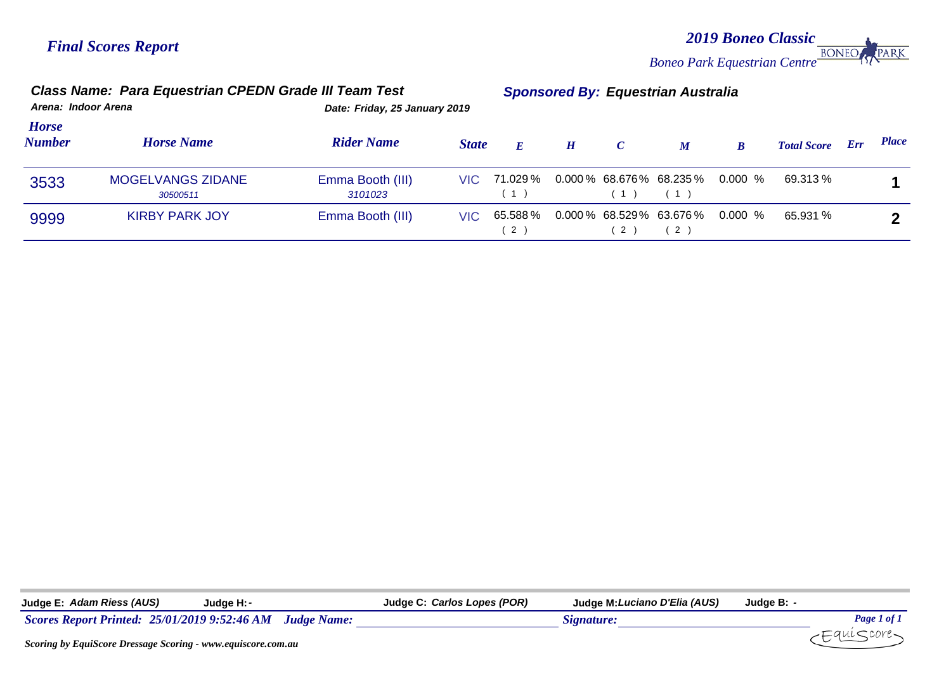*2019 Boneo Classic* **BONEC** PARK *Boneo Park Equestrian Centre*

| Arena: Indoor Arena           | <b>Class Name: Para Equestrian CPEDN Grade III Team Test</b> |                             | <b>Sponsored By: Equestrian Australia</b><br>Date: Friday, 25 January 2019 |                     |          |               |                                |                                   |                    |     |              |
|-------------------------------|--------------------------------------------------------------|-----------------------------|----------------------------------------------------------------------------|---------------------|----------|---------------|--------------------------------|-----------------------------------|--------------------|-----|--------------|
| <b>Horse</b><br><b>Number</b> | <b>Horse Name</b>                                            | <b>Rider Name</b>           | <b>State</b>                                                               |                     | <b>H</b> | $\mathcal{C}$ | $\boldsymbol{M}$               | $\boldsymbol{B}$                  | <b>Total Score</b> | Err | <b>Place</b> |
| 3533                          | <b>MOGELVANGS ZIDANE</b><br>30500511                         | Emma Booth (III)<br>3101023 |                                                                            | VIC 71.029 %<br>(1) |          | (1) (1)       |                                | $0.000\%$ 68.676% 68.235% 0.000 % | 69.313 %           |     |              |
| 9999                          | <b>KIRBY PARK JOY</b>                                        | Emma Booth (III)            | VIC.                                                                       | 65.588 %<br>(2      |          | 2)            | $0.000\%$ 68.529% 63.676%<br>2 | 0.000 %                           | 65.931 %           |     |              |

*Scores Report Printed:* 25/01/2019 9:52:46 AM *Judge Name: Signature: Signature: Page 1 of 1 Page 1 of 1 Page 1 of 1 Page 1 of 1 Page 1 of 1 Page 1 of 1 Page 1 of 1 Page 1 of 1 Page 1 of 1* **Judge E:** *Adam Riess (AUS)* **Judge H:***-* **Judge C:** *Carlos Lopes (POR)* **Judge M:***Luciano D'Elia (AUS)* **Judge B:** *-*